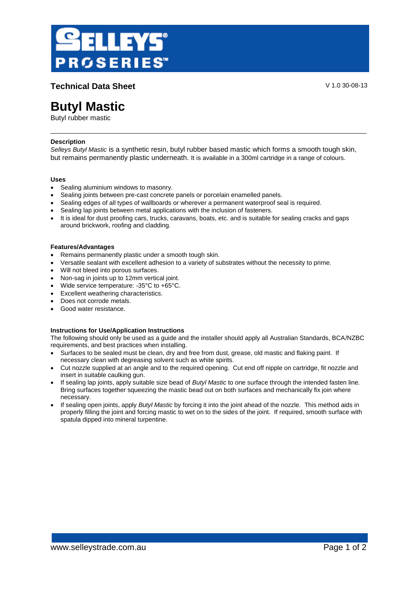

**Technical Data Sheet** V 1.0 30-08-13

# **Butyl Mastic**

Butyl rubber mastic

# **Description**

*Selleys Butyl Mastic* is a synthetic resin, butyl rubber based mastic which forms a smooth tough skin, but remains permanently plastic underneath. It is available in a 300ml cartridge in a range of colours.

# **Uses**

- Sealing aluminium windows to masonry.
- Sealing joints between pre-cast concrete panels or porcelain enamelled panels.
- Sealing edges of all types of wallboards or wherever a permanent waterproof seal is required.
- Sealing lap joints between metal applications with the inclusion of fasteners.
- It is ideal for dust proofing cars, trucks, caravans, boats, etc. and is suitable for sealing cracks and gaps around brickwork, roofing and cladding.

## **Features/Advantages**

- Remains permanently plastic under a smooth tough skin.
- Versatile sealant with excellent adhesion to a variety of substrates without the necessity to prime.
- Will not bleed into porous surfaces.
- Non-sag in joints up to 12mm vertical joint.
- Wide service temperature: -35°C to +65°C.
- Excellent weathering characteristics.
- Does not corrode metals.
- Good water resistance.

# **Instructions for Use/Application Instructions**

The following should only be used as a guide and the installer should apply all Australian Standards, BCA/NZBC requirements, and best practices when installing.

- Surfaces to be sealed must be clean, dry and free from dust, grease, old mastic and flaking paint. If necessary clean with degreasing solvent such as white spirits.
- Cut nozzle supplied at an angle and to the required opening. Cut end off nipple on cartridge, fit nozzle and insert in suitable caulking gun.
- If sealing lap joints, apply suitable size bead of *Butyl Mastic* to one surface through the intended fasten line. Bring surfaces together squeezing the mastic bead out on both surfaces and mechanically fix join where necessary.
- If sealing open joints, apply *Butyl Mastic* by forcing it into the joint ahead of the nozzle. This method aids in properly filling the joint and forcing mastic to wet on to the sides of the joint. If required, smooth surface with spatula dipped into mineral turpentine.